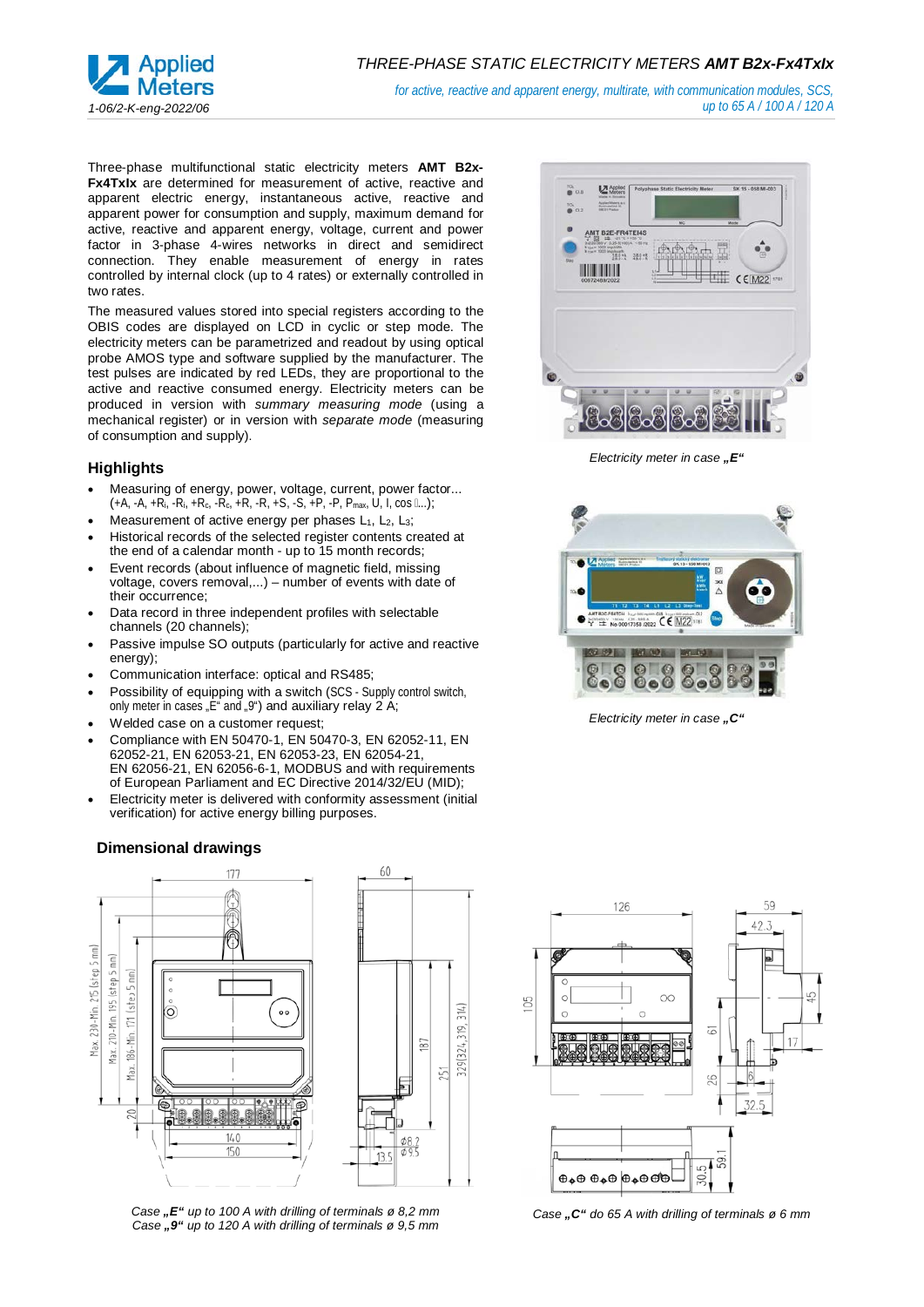

*for active, reactive and apparent energy, multirate, with communication modules, SCS, up to 65 A / 100 A / 120 A*

Three-phase multifunctional static electricity meters **AMT B2x-Fx4TxIx** are determined for measurement of active, reactive and apparent electric energy, instantaneous active, reactive and apparent power for consumption and supply, maximum demand for active, reactive and apparent energy, voltage, current and power factor in 3-phase 4-wires networks in direct and semidirect connection. They enable measurement of energy in rates controlled by internal clock (up to 4 rates) or externally controlled in two rates.

The measured values stored into special registers according to the OBIS codes are displayed on LCD in cyclic or step mode. The electricity meters can be parametrized and readout by using optical probe AMOS type and software supplied by the manufacturer. The test pulses are indicated by red LEDs, they are proportional to the active and reactive consumed energy. Electricity meters can be produced in version with *summary measuring mode* (using a mechanical register) or in version with *separate mode* (measuring of consumption and supply).

## **Highlights**

- Measuring of energy, power, voltage, current, power factor...  $(+A, -A, +R_i, -R_i, +R_c, -R_c, +R, -R, +S, -S, +P, -P, P_{max}, U, I, cos \dots);$
- Measurement of active energy per phases  $L_1$ ,  $L_2$ ,  $L_3$ ;
- Historical records of the selected register contents created at the end of a calendar month - up to 15 month records;
- Event records (about influence of magnetic field, missing voltage, covers removal,...) – number of events with date of their occurrence;
- Data record in three independent profiles with selectable channels (20 channels);
- Passive impulse SO outputs (particularly for active and reactive energy);
- Communication interface: optical and RS485;
- Possibility of equipping with a switch (SCS Supply control switch, only meter in cases  $E^*$  and  $\Psi^*$  and auxiliary relay 2 A;
- Welded case on a customer request;
- Compliance with EN 50470-1, EN 50470-3, EN 62052-11, EN 62052-21, EN 62053-21, EN 62053-23, EN 62054-21, EN 62056-21, EN 62056-6-1, MODBUS and with requirements of European Parliament and EC Directive 2014/32/EU (MID);
- Electricity meter is delivered with conformity assessment (initial verification) for active energy billing purposes.

# **Dimensional drawings**



314)

829 324 319.

51

*Case "E" up to 100 A with drilling of terminals ø 8,2 mm Case "9" up to 120 A with drilling of terminals ø 9,5 mm*



*Electricity meter in case* ..E<sup>"</sup>



*Electricity meter in case* "C"



*Case "C" do 65 A with drilling of terminals ø 6 mm*